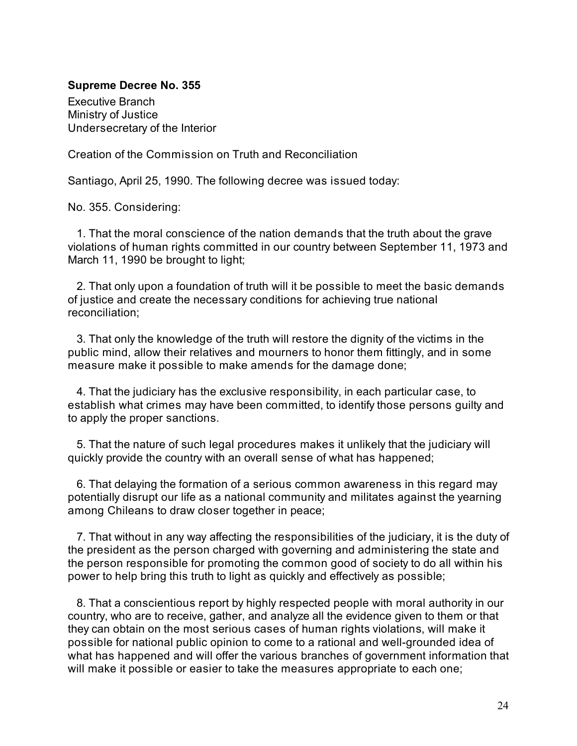# **Supreme Decree No. 355**

Executive Branch Ministry of Justice Undersecretary of the Interior

Creation of the Commission on Truth and Reconciliation

Santiago, April 25, 1990. The following decree was issued today:

No. 355. Considering:

1. That the moral conscience of the nation demands that the truth about the grave violations of human rights committed in our country between September 11, 1973 and March 11, 1990 be brought to light;

2. That only upon a foundation of truth will it be possible to meet the basic demands of justice and create the necessary conditions for achieving true national reconciliation;

3. That only the knowledge of the truth will restore the dignity of the victims in the public mind, allow their relatives and mourners to honor them fittingly, and in some measure make it possible to make amends for the damage done;

4. That the judiciary has the exclusive responsibility, in each particular case, to establish what crimes may have been committed, to identify those persons guilty and to apply the proper sanctions.

5. That the nature of such legal procedures makes it unlikely that the judiciary will quickly provide the country with an overall sense of what has happened;

6. That delaying the formation of a serious common awareness in this regard may potentially disrupt our life as a national community and militates against the yearning among Chileans to draw closer together in peace;

7. That without in any way affecting the responsibilities of the judiciary, it is the duty of the president as the person charged with governing and administering the state and the person responsible for promoting the common good of society to do all within his power to help bring this truth to light as quickly and effectively as possible;

8. That a conscientious report by highly respected people with moral authority in our country, who are to receive, gather, and analyze all the evidence given to them or that they can obtain on the most serious cases of human rights violations, will make it possible for national public opinion to come to a rational and well-grounded idea of what has happened and will offer the various branches of government information that will make it possible or easier to take the measures appropriate to each one;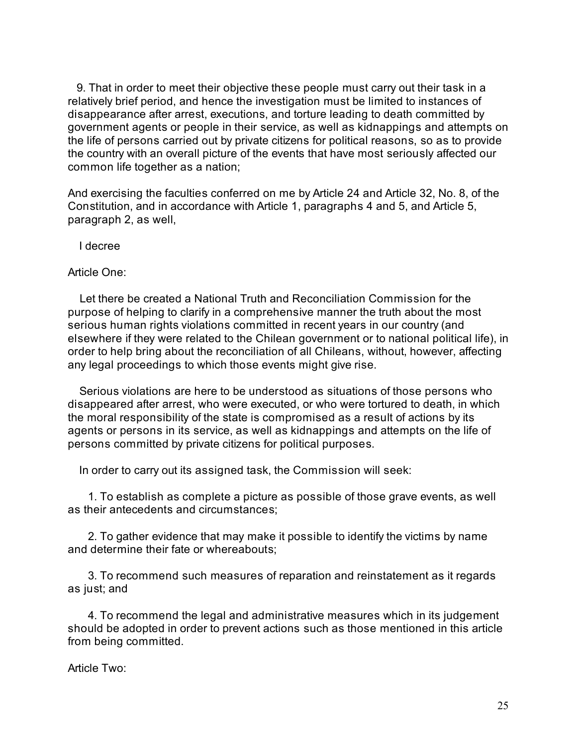9. That in order to meet their objective these people must carry out their task in a relatively brief period, and hence the investigation must be limited to instances of disappearance after arrest, executions, and torture leading to death committed by government agents or people in their service, as well as kidnappings and attempts on the life of persons carried out by private citizens for political reasons, so as to provide the country with an overall picture of the events that have most seriously affected our common life together as a nation;

And exercising the faculties conferred on me by Article 24 and Article 32, No. 8, of the Constitution, and in accordance with Article 1, paragraphs 4 and 5, and Article 5, paragraph 2, as well,

I decree

Article One:

Let there be created a National Truth and Reconciliation Commission for the purpose of helping to clarify in a comprehensive manner the truth about the most serious human rights violations committed in recent years in our country (and elsewhere if they were related to the Chilean government or to national political life), in order to help bring about the reconciliation of all Chileans, without, however, affecting any legal proceedings to which those events might give rise.

Serious violations are here to be understood as situations of those persons who disappeared after arrest, who were executed, or who were tortured to death, in which the moral responsibility of the state is compromised as a result of actions by its agents or persons in its service, as well as kidnappings and attempts on the life of persons committed by private citizens for political purposes.

In order to carry out its assigned task, the Commission will seek:

1. To establish as complete a picture as possible of those grave events, as well as their antecedents and circumstances;

2. To gather evidence that may make it possible to identify the victims by name and determine their fate or whereabouts;

3. To recommend such measures of reparation and reinstatement as it regards as just; and

4. To recommend the legal and administrative measures which in its judgement should be adopted in order to prevent actions such as those mentioned in this article from being committed.

Article Two: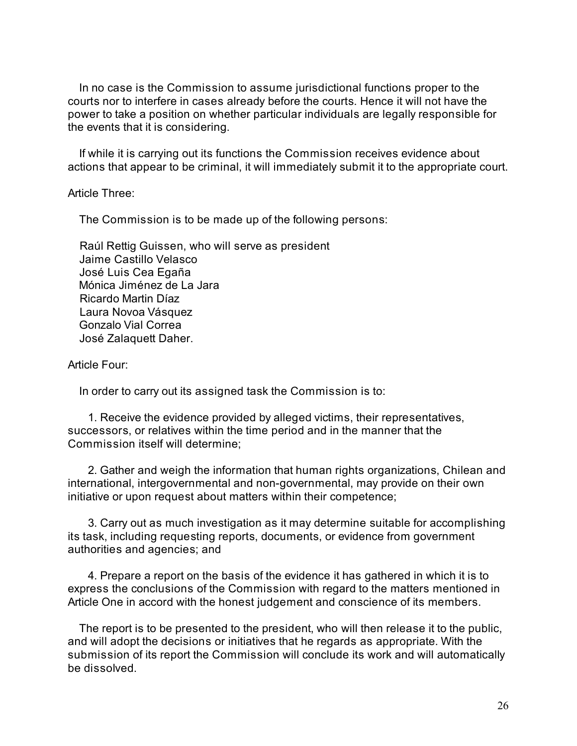In no case is the Commission to assume jurisdictional functions proper to the courts nor to interfere in cases already before the courts. Hence it will not have the power to take a position on whether particular individuals are legally responsible for the events that it is considering.

If while it is carrying out its functions the Commission receives evidence about actions that appear to be criminal, it will immediately submit it to the appropriate court.

Article Three:

The Commission is to be made up of the following persons:

Raúl Rettig Guissen, who will serve as president Jaime Castillo Velasco José Luis Cea Egaña Mónica Jiménez de La Jara Ricardo Martin Díaz Laura Novoa Vásquez Gonzalo Vial Correa José Zalaquett Daher.

Article Four:

In order to carry out its assigned task the Commission is to:

1. Receive the evidence provided by alleged victims, their representatives, successors, or relatives within the time period and in the manner that the Commission itself will determine;

2. Gather and weigh the information that human rights organizations, Chilean and international, intergovernmental and non-governmental, may provide on their own initiative or upon request about matters within their competence;

3. Carry out as much investigation as it may determine suitable for accomplishing its task, including requesting reports, documents, or evidence from government authorities and agencies; and

4. Prepare a report on the basis of the evidence it has gathered in which it is to express the conclusions of the Commission with regard to the matters mentioned in Article One in accord with the honest judgement and conscience of its members.

The report is to be presented to the president, who will then release it to the public, and will adopt the decisions or initiatives that he regards as appropriate. With the submission of its report the Commission will conclude its work and will automatically be dissolved.